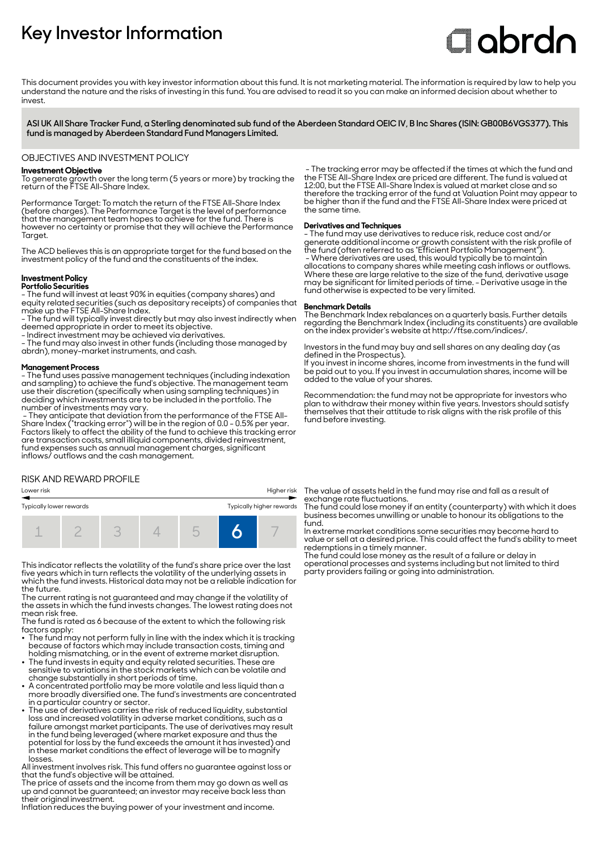# **Key Investor Information**

# **Clobrdn**

This document provides you with key investor information about this fund. It is not marketing material. The information is required by law to help you understand the nature and the risks of investing in this fund. You are advised to read it so you can make an informed decision about whether to invest

**ASI UK All Share Tracker Fund, a Sterling denominated sub fund of the Aberdeen Standard OEIC IV, B Inc Shares (ISIN: GB00B6VGS377). This fund is managed by Aberdeen Standard Fund Managers Limited.**

#### OBJECTIVES AND INVESTMENT POLICY

#### **Investment Objective**

To generate growth over the long term (5 years or more) by tracking the return of the FTSE All-Share Index.

Performance Target: To match the return of the FTSE All-Share Index (before charges). The Performance Target is the level of performance that the management team hopes to achieve for the fund. There is however no certainty or promise that they will achieve the Performance Taraet.

The ACD believes this is an appropriate target for the fund based on the investment policy of the fund and the constituents of the index.

#### **Investment Policy Portfolio Securities**

- The fund will invest at least 90% in equities (company shares) and equity related securities (such as depositary receipts) of companies that make up the FTSE All-Share Index.

- The fund will typically invest directly but may also invest indirectly when deemed appropriate in order to meet its objective.

- Indirect investment may be achieved via derivatives.

- The fund may also invest in other funds (including those managed by abrdn), money-market instruments, and cash.

#### **Management Process**

- The fund uses passive management techniques (including indexation and sampling) to achieve the fund's objective. The management team use their discretion (specifically when using sampling techniques) in deciding which investments are to be included in the portfolio. The number of investments may vary.

 - They anticipate that deviation from the performance of the FTSE All-Share Index ("tracking error") will be in the region of 0.0 - 0.5% per year. Factors likely to affect the ability of the fund to achieve this tracking error are transaction costs, small illiquid components, divided reinvestment, fund expenses such as annual management charges, significant inflows/ outflows and the cash management.

#### RISK AND REWARD PROFILE

| Typically lower rewards |  |  |  |  | Typically higher rewards |  |
|-------------------------|--|--|--|--|--------------------------|--|
|                         |  |  |  |  |                          |  |

This indicator reflects the volatility of the fund's share price over the last five years which in turn reflects the volatility of the underlying assets in which the fund invests. Historical data may not be a reliable indication for the future.

The current rating is not guaranteed and may change if the volatility of the assets in which the fund invests changes. The lowest rating does not mean risk free.

The fund is rated as 6 because of the extent to which the following risk factors apply: 2 The fund may not perform fully in line with the index which it is tracking

- because of factors which may include transaction costs, timing and holding mismatching, or in the event of extreme market disruption.
- The fund invests in equity and equity related securities. These are sensitive to variations in the stock markets which can be volatile and
- change substantially in short periods of time. 2 A concentrated portfolio may be more volatile and less liquid than a more broadly diversified one. The fund's investments are concentrated in a particular country or sector.
- The use of derivatives carries the risk of reduced liquidity, substantial loss and increased volatility in adverse market conditions, such as a failure amongst market participants. The use of derivatives may result in the fund being leveraged (where market exposure and thus the potential for loss by the fund exceeds the amount it has invested) and in these market conditions the effect of leverage will be to magnify losses.

All investment involves risk. This fund offers no guarantee against loss or that the fund's objective will be attained.

The price of assets and the income from them may go down as well as up and cannot be guaranteed; an investor may receive back less than their original investment.

Inflation reduces the buying power of your investment and income.

 - The tracking error may be affected if the times at which the fund and the FTSE All-Share Index are priced are different. The fund is valued at 12:00, but the FTSE All-Share Index is valued at market close and so therefore the tracking error of the fund at Valuation Point may appear to be higher than if the fund and the FTSE All-Share Index were priced at the same time.

#### **Derivatives and Techniques**

- The fund may use derivatives to reduce risk, reduce cost and/or generate additional income or growth consistent with the risk profile of the fund (often referred to as "Efficient Portfolio Management"). - Where derivatives are used, this would typically be to maintain allocations to company shares while meeting cash inflows or outflows. Where these are large relative to the size of the fund, derivative usage may be significant for limited periods of time. - Derivative usage in the fund otherwise is expected to be very limited.

#### **Benchmark Details**

The Benchmark Index rebalances on a quarterly basis. Further details regarding the Benchmark Index (including its constituents) are available on the index provider's website at http://ftse.com/indices/.

Investors in the fund may buy and sell shares on any dealing day (as defined in the Prospectus).

If you invest in income shares, income from investments in the fund will be paid out to you. If you invest in accumulation shares, income will be added to the value of your shares.

Recommendation: the fund may not be appropriate for investors who plan to withdraw their money within five years. Investors should satisfy themselves that their attitude to risk aligns with the risk profile of this fund before investing.

Lower risk Higher risk The value of assets held in the fund may rise and fall as a result of exchange rate fluctuations.

The fund could lose money if an entity (counterparty) with which it does business becomes unwilling or unable to honour its obligations to the fund.

In extreme market conditions some securities may become hard to value or sell at a desired price. This could affect the fund's ability to meet redemptions in a timely manner.

The fund could lose money as the result of a failure or delay in operational processes and systems including but not limited to third party providers failing or going into administration.